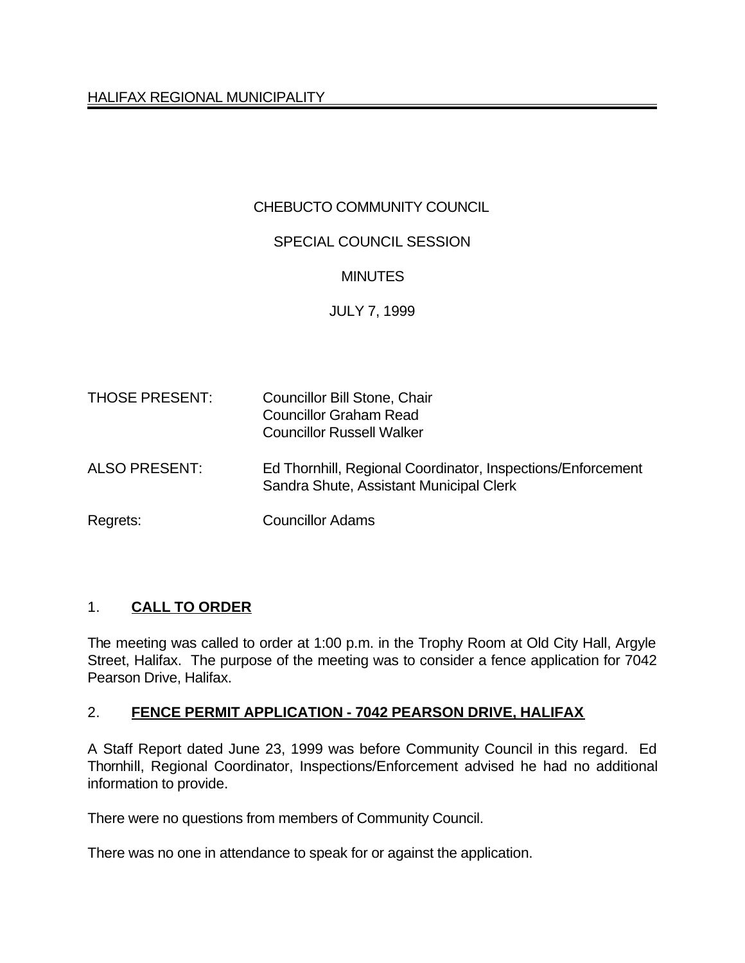# CHEBUCTO COMMUNITY COUNCIL

## SPECIAL COUNCIL SESSION

### **MINUTES**

### JULY 7, 1999

| <b>THOSE PRESENT:</b> | Councillor Bill Stone, Chair<br><b>Councillor Graham Read</b><br><b>Councillor Russell Walker</b>      |
|-----------------------|--------------------------------------------------------------------------------------------------------|
| <b>ALSO PRESENT:</b>  | Ed Thornhill, Regional Coordinator, Inspections/Enforcement<br>Sandra Shute, Assistant Municipal Clerk |
| Regrets:              | <b>Councillor Adams</b>                                                                                |

### 1. **CALL TO ORDER**

The meeting was called to order at 1:00 p.m. in the Trophy Room at Old City Hall, Argyle Street, Halifax. The purpose of the meeting was to consider a fence application for 7042 Pearson Drive, Halifax.

### 2. **FENCE PERMIT APPLICATION - 7042 PEARSON DRIVE, HALIFAX**

A Staff Report dated June 23, 1999 was before Community Council in this regard. Ed Thornhill, Regional Coordinator, Inspections/Enforcement advised he had no additional information to provide.

There were no questions from members of Community Council.

There was no one in attendance to speak for or against the application.